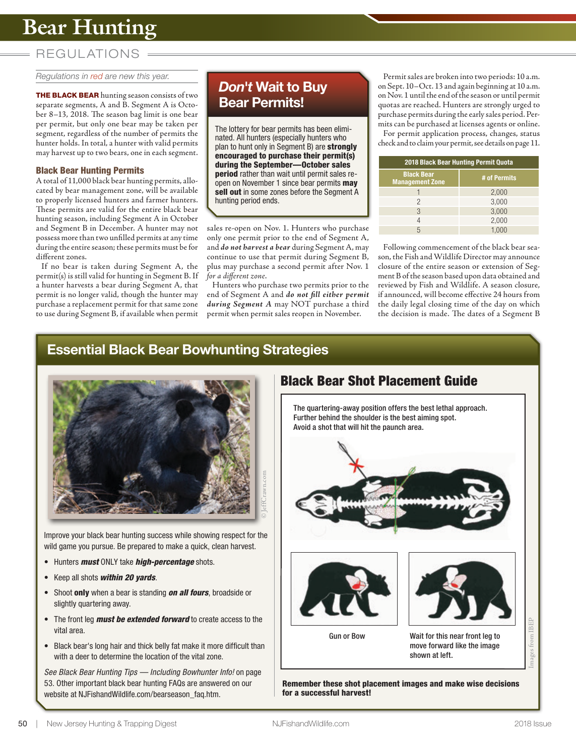# **Bear Hunting**

## REGUL ATIONS

*Regulations in red are new this year.*

**THE BLACK BEAR** hunting season consists of two separate segments, A and B. Segment A is October 8–13, 2018. The season bag limit is one bear per permit, but only one bear may be taken per segment, regardless of the number of permits the hunter holds. In total, a hunter with valid permits may harvest up to two bears, one in each segment.

#### Black Bear Hunting Permits

A total of 11,000 black bear hunting permits, allocated by bear management zone, will be available to properly licensed hunters and farmer hunters. These permits are valid for the entire black bear hunting season, including Segment A in October and Segment B in December. A hunter may not possess more than two unfilled permits at any time during the entire season; these permits must be for different zones.

If no bear is taken during Segment A, the permit(s) is still valid for hunting in Segment B. If a hunter harvests a bear during Segment A, that permit is no longer valid, though the hunter may purchase a replacement permit for that same zone to use during Segment B, if available when permit

## *Don't* Wait to Buy Bear Permits!

The lottery for bear permits has been eliminated. All hunters (especially hunters who plan to hunt only in Segment B) are strongly encouraged to purchase their permit(s) during the September—October sales **period** rather than wait until permit sales reopen on November 1 since bear permits may sell out in some zones before the Segment A hunting period ends.

sales re-open on Nov. 1. Hunters who purchase only one permit prior to the end of Segment A, and *do not harvest a bear* during Segment A, may continue to use that permit during Segment B, plus may purchase a second permit after Nov. 1 *for a different zone*.

Hunters who purchase two permits prior to the end of Segment A and *do not fill either permit during Segment A* may NOT purchase a third permit when permit sales reopen in November.

Permit sales are broken into two periods: 10 a.m. on Sept. 10–Oct. 13 and again beginning at 10 a.m. on Nov. 1 until the end of the season or until permit quotas are reached. Hunters are strongly urged to purchase permits during the early sales period. Permits can be purchased at licenses agents or online. For permit application process, changes, status check and to claim your permit, see details on page 11.

| 2018 Black Bear Hunting Permit Quota        |              |  |  |
|---------------------------------------------|--------------|--|--|
| <b>Black Bear</b><br><b>Management Zone</b> | # of Permits |  |  |
|                                             | 2,000        |  |  |
| 2                                           | 3,000        |  |  |
| 3                                           | 3,000        |  |  |
| 4                                           | 2,000        |  |  |
| 5                                           |              |  |  |

Following commencement of the black bear season, the Fish and Wildlife Director may announce closure of the entire season or extension of Segment B of the season based upon data obtained and reviewed by Fish and Wildlife. A season closure, if announced, will become effective 24 hours from the daily legal closing time of the day on which the decision is made. The dates of a Segment B

### Essential Black Bear Bowhunting Strategies



Improve your black bear hunting success while showing respect for the wild game you pursue. Be prepared to make a quick, clean harvest.

- Hunters *must* ONLY take *high-percentage* shots.
- Keep all shots *within 20 yards*.
- Shoot only when a bear is standing *on all fours*, broadside or slightly quartering away.
- The front leg *must be extended forward* to create access to the vital area.
- Black bear's long hair and thick belly fat make it more difficult than with a deer to determine the location of the vital zone.

*See Black Bear Hunting Tips — Including Bowhunter Info!* on page 53. Other important black bear hunting FAQs are answered on our website at NJFishandWildlife.com/bearseason\_faq.htm.



Remember these shot placement images and make wise decisions for a successful harvest!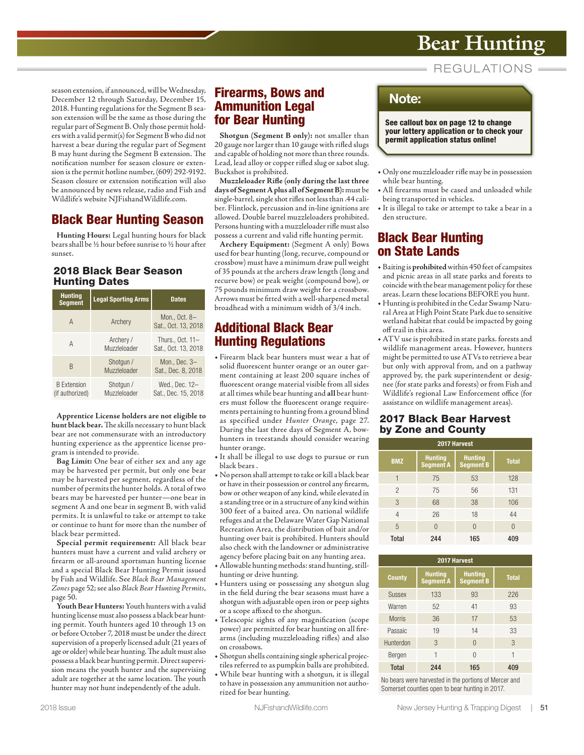# **Bear Hunting**

**REGULATIONS** 

season extension, if announced, will be Wednesday, December 12 through Saturday, December 15, 2018. Hunting regulations for the Segment B season extension will be the same as those during the regular part of Segment B. Only those permit holders with a valid permit(s) for Segment B who did not harvest a bear during the regular part of Segment B may hunt during the Segment B extension. The notification number for season closure or extension is the permit hotline number, (609) 292-9192. Season closure or extension notification will also be announced by news release, radio and Fish and Wildlife's website NJFishandWildlife.com.

## **Black Bear Hunting Season**

**Hunting Hours:** Legal hunting hours for black bears shall be ½ hour before sunrise to ½ hour after sunset.

### **2018 Black Bear Season Hunting Dates**

| <b>Hunting</b><br><b>Segment</b>      | <b>Legal Sporting Arms</b> | <b>Dates</b>                            |  |
|---------------------------------------|----------------------------|-----------------------------------------|--|
| A                                     | Archery                    | Mon., Oct. 8-<br>Sat., Oct. 13, 2018    |  |
| A                                     | Archery /<br>Muzzleloader  | Thurs., Oct. 11-<br>Sat., Oct. 13, 2018 |  |
| B                                     | Shotgun /<br>Muzzleloader  | Mon., Dec. $3-$<br>Sat., Dec. 8, 2018   |  |
| <b>B</b> Extension<br>(if authorized) | Shotgun /<br>Muzzleloader  | Wed., Dec. 12-<br>Sat., Dec. 15, 2018   |  |

**Apprentice License holders are not eligible to hunt black bear.** The skills necessary to hunt black bear are not commensurate with an introductory hunting experience as the apprentice license program is intended to provide.

**Bag Limit:** One bear of either sex and any age may be harvested per permit, but only one bear may be harvested per segment, regardless of the number of permits the hunter holds. A total of two bears may be harvested per hunter—one bear in segment A and one bear in segment B, with valid permits. It is unlawful to take or attempt to take or continue to hunt for more than the number of black bear permitted.

**Special permit requirement:** All black bear hunters must have a current and valid archery or firearm or all-around sportsman hunting license and a special Black Bear Hunting Permit issued by Fish and Wildlife. See Black Bear Management Zones page 52; see also Black Bear Hunting Permits, page 50.

**Youth Bear Hunters:** Youth hunters with a valid hunting license must also possess a black bear hunting permit. Youth hunters aged 10 through 13 on or before October 7, 2018 must be under the direct supervision of a properly licensed adult (21 years of age or older) while bear hunting. The adult must also possess a black bear hunting permit. Direct supervision means the youth hunter and the supervising adult are together at the same location. The youth hunter may not hunt independently of the adult.

### **Firearms, Bows and Ammunition Legal for Bear Hunting**

**Shotgun (Segment B only):** not smaller than 20 gauge nor larger than 10 gauge with rifled slugs and capable of holding not more than three rounds. Lead, lead alloy or copper rifled slug or sabot slug. Buckshot is prohibited.

**Muzzleloader Rifle (only during the last three days of Segment A plus all of Segment B):** must be single-barrel, single shot rifles not less than .44 caliber. Flintlock, percussion and in-line ignitions are allowed. Double barrel muzzleloaders prohibited. Persons hunting with a muzzleloader rifle must also possess a current and valid rifle hunting permit.

**Archery Equipment:** (Segment A only) Bows used for bear hunting (long, recurve, compound or crossbow) must have a minimum draw pull weight of 35 pounds at the archers draw length (long and recurve bow) or peak weight (compound bow), or 75 pounds minimum draw weight for a crossbow. Arrows must be fitted with a well-sharpened metal broadhead with a minimum width of 3/4 inch.

## **Additional Black Bear Hunting Regulations**

- Firearm black bear hunters must wear a hat of solid fluorescent hunter orange or an outer garment containing at least 200 square inches of fluorescent orange material visible from all sides at all times while bear hunting and **all** bear hunters must follow the fluorescent orange requirements pertaining to hunting from a ground blind as specified under Hunter Orange, page 27. During the last three days of Segment A, bowhunters in treestands should consider wearing hunter orange.
- It shall be illegal to use dogs to pursue or run black bears .
- No person shall attempt to take or kill a black bear or have in their possession or control any firearm, bow or other weapon of any kind, while elevated in a standing tree or in a structure of any kind within 300 feet of a baited area. On national wildlife refuges and at the Delaware Water Gap National Recreation Area, the distribution of bait and/or hunting over bait is prohibited. Hunters should also check with the landowner or administrative agency before placing bait on any hunting area.
- Allowable hunting methods: stand hunting, stillhunting or drive hunting.
- Hunters using or possessing any shotgun slug in the field during the bear seasons must have a shotgun with adjustable open iron or peep sights or a scope affixed to the shotgun.
- Telescopic sights of any magnification (scope power) are permitted for bear hunting on all firearms (including muzzleloading rifles) and also on crossbows.
- Shotgun shells containing single spherical projectiles referred to as pumpkin balls are prohibited.
- While bear hunting with a shotgun, it is illegal to have in possession any ammunition not authorized for bear hunting.

## **Note:**

**See callout box on page 12 to change your lottery application or to check your permit application status online!** 

- Only one muzzleloader rifle may be in possession while bear hunting.
- All firearms must be cased and unloaded while being transported in vehicles.
- It is illegal to take or attempt to take a bear in a den structure.

### **Black Bear Hunting on State Lands**

- Baiting is **prohibited** within 450 feet of campsites and picnic areas in all state parks and forests to coincide with the bear management policy for these areas. Learn these locations BEFORE you hunt.
- Hunting is prohibited in the Cedar Swamp Natural Area at High Point State Park due to sensitive wetland habitat that could be impacted by going off trail in this area.
- ATV use is prohibited in state parks. forests and wildlife management areas. However, hunters might be permitted to use ATVs to retrieve a bear but only with approval from, and on a pathway approved by, the park superintendent or designee (for state parks and forests) or from Fish and Wildlife's regional Law Enforcement office (for assistance on wildlife management areas).

### **2017 Black Bear Harvest by Zone and County**

| 2017 Harvest   |                                    |                                    |              |  |  |
|----------------|------------------------------------|------------------------------------|--------------|--|--|
| <b>BMZ</b>     | <b>Hunting</b><br><b>Segment A</b> | <b>Hunting</b><br><b>Segment B</b> | <b>Total</b> |  |  |
|                | 75                                 | 53                                 | 128          |  |  |
| $\overline{c}$ | 75                                 | 56                                 | 131          |  |  |
| 3              | 68                                 | 38                                 | 106          |  |  |
| 4              | 26                                 | 18                                 | 44           |  |  |
| 5              | 0                                  |                                    | $\Omega$     |  |  |
| Total          | 244                                | 165                                | 409          |  |  |

| 2017 Harvest  |                                    |                                    |              |  |  |
|---------------|------------------------------------|------------------------------------|--------------|--|--|
| <b>County</b> | <b>Hunting</b><br><b>Segment A</b> | <b>Hunting</b><br><b>Segment B</b> | <b>Total</b> |  |  |
| <b>Sussex</b> | 133                                | 93                                 | 226          |  |  |
| Warren        | 52                                 | 41                                 | 93           |  |  |
| <b>Morris</b> | 36                                 | 17                                 | 53           |  |  |
| Passaic       | 19                                 | 14                                 | 33           |  |  |
| Hunterdon     | 3                                  | $\Omega$                           | 3            |  |  |
| Bergen        |                                    | $\cap$                             | 1            |  |  |
| <b>Total</b>  | 244                                | 165                                | 409          |  |  |

No bears were harvested in the portions of Mercer and Somerset counties open to bear hunting in 2017.